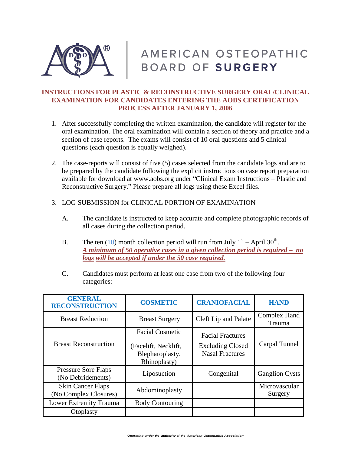

# AMERICAN OSTEOPATHIC BOARD OF SURGERY

## **INSTRUCTIONS FOR PLASTIC & RECONSTRUCTIVE SURGERY ORAL/CLINICAL EXAMINATION FOR CANDIDATES ENTERING THE AOBS CERTIFICATION PROCESS AFTER JANUARY 1, 2006**

- 1. After successfully completing the written examination, the candidate will register for the oral examination. The oral examination will contain a section of theory and practice and a section of case reports. The exams will consist of 10 oral questions and 5 clinical questions (each question is equally weighed).
- 2. The case-reports will consist of five (5) cases selected from the candidate logs and are to be prepared by the candidate following the explicit instructions on case report preparation available for download at [www.aobs.org](http://www.aobs.org/) under "Clinical Exam Instructions – Plastic and Reconstructive Surgery." Please prepare all logs using these Excel files.
- 3. LOG SUBMISSION for CLINICAL PORTION OF EXAMINATION
	- A. The candidate is instructed to keep accurate and complete photographic records of all cases during the collection period.
	- B. The ten (10) month collection period will run from July  $1<sup>st</sup>$  April 30<sup>th</sup>. *A minimum of 50 operative cases in a given collection period is required – no logs will be accepted if under the 50 case required.*
	- C. Candidates must perform at least one case from two of the following four categories:

| <b>GENERAL</b><br><b>RECONSTRUCTION</b>           | <b>COSMETIC</b>                                         | <b>CRANIOFACIAL</b>                               | <b>HAND</b>              |
|---------------------------------------------------|---------------------------------------------------------|---------------------------------------------------|--------------------------|
| <b>Breast Reduction</b>                           | <b>Breast Surgery</b>                                   | Cleft Lip and Palate                              | Complex Hand<br>Trauma   |
|                                                   | <b>Facial Cosmetic</b>                                  | <b>Facial Fractures</b>                           |                          |
| <b>Breast Reconstruction</b>                      | (Facelift, Necklift,<br>Blepharoplasty,<br>Rhinoplasty) | <b>Excluding Closed</b><br><b>Nasal Fractures</b> | Carpal Tunnel            |
| <b>Pressure Sore Flaps</b><br>(No Debridements)   | Liposuction                                             | Congenital                                        | <b>Ganglion Cysts</b>    |
| <b>Skin Cancer Flaps</b><br>(No Complex Closures) | Abdominoplasty                                          |                                                   | Microvascular<br>Surgery |
| Lower Extremity Trauma                            | <b>Body Contouring</b>                                  |                                                   |                          |
| Otoplasty                                         |                                                         |                                                   |                          |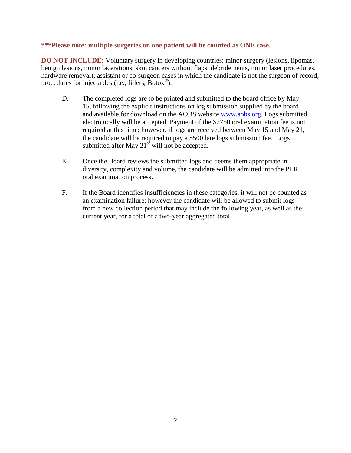## **\*\*\*Please note: multiple surgeries on one patient will be counted as ONE case.**

**DO NOT INCLUDE:** Voluntary surgery in developing countries; minor surgery (lesions, lipomas, benign lesions, minor lacerations, skin cancers without flaps, debridements, minor laser procedures, hardware removal); assistant or co-surgeon cases in which the candidate is not the surgeon of record; procedures for injectables (i.e., fillers, Botox<sup>®</sup>).

- D. The completed logs are to be printed and submitted to the board office by May 15, following the explicit instructions on log submission supplied by the board and available for download on the AOBS website [www.aobs.org.](http://www.aobs.org/) Logs submitted electronically will be accepted. Payment of the \$2750 oral examination fee is not required at this time; however, if logs are received between May 15 and May 21, the candidate will be required to pay a \$500 late logs submission fee. Logs submitted after May  $21^{st}$  will not be accepted.
- E. Once the Board reviews the submitted logs and deems them appropriate in diversity, complexity and volume, the candidate will be admitted into the PLR oral examination process.
- F. If the Board identifies insufficiencies in these categories, it will not be counted as an examination failure; however the candidate will be allowed to submit logs from a new collection period that may include the following year, as well as the current year, for a total of a two-year aggregated total.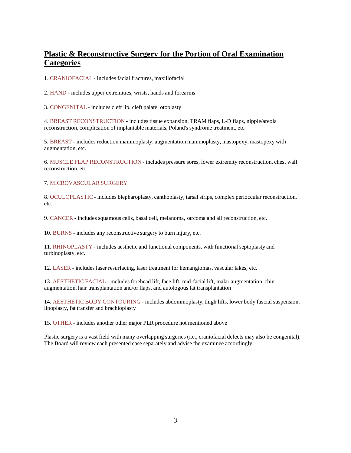# **Plastic & Reconstructive Surgery for the Portion of Oral Examination Categories**

1. CRANIOFACIAL - includes facial fractures, maxillofacial

2. HAND - includes upper extremities, wrists, hands and forearms

3. CONGENITAL - includes cleft lip, cleft palate, otoplasty

4. BREAST RECONSTRUCTION - includes tissue expansion, TRAM flaps, L-D flaps, nipple/areola reconstruction, complication of implantable materials, Poland's syndrome treatment, etc.

5. BREAST - includes reduction mammoplasty, augmentation mammoplasty, mastopexy, mastopexy with augmentation, etc.

6. MUSCLE FLAP RECONSTRUCTION - includes pressure sores, lower extremity reconstruction, chest wall reconstruction, etc.

#### 7. MICROVASCULARSURGERY

8. OCULOPLASTIC - includes blepharoplasty, canthoplasty, tarsal strips, complex perioccular reconstruction, etc.

9. CANCER - includes squamous cells, basal cell, melanoma, sarcoma and all reconstruction, etc.

10. BURNS - includes any reconstructive surgery to burn injury, etc.

11. RHINOPLASTY - includes aesthetic and functional components, with functional septoplasty and turbinoplasty, etc.

12. LASER - includes laser resurfacing, laser treatment for hemangiomas, vascular lakes, etc.

13. AESTHETIC FACIAL - includes forehead lift, face lift, mid-facial lift, malar augmentation, chin augmentation, hair transplantation and/or flaps, and autologous fat transplantation

14. AESTHETIC BODY CONTOURING - includes abdominoplasty, thigh lifts, lower body fascial suspension, lipoplasty, fat transfer and brachioplasty

15. OTHER - includes another other major PLR procedure not mentioned above

Plastic surgery is a vast field with many overlapping surgeries (i.e., craniofacial defects may also be congenital). The Board will review each presented case separately and advise the examinee accordingly.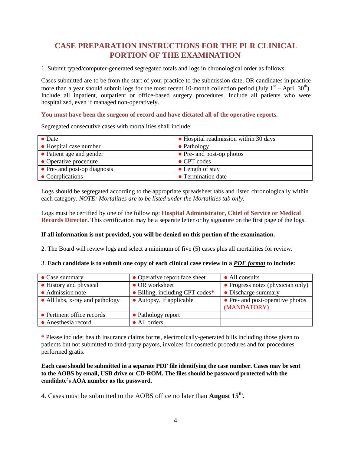# **CASE PREPARATION INSTRUCTIONS FOR THE PLR CLINICAL PORTION OF THE EXAMINATION**

1. Submit typed/computer-generated segregated totals and logs in chronological order as follows:

Cases submitted are to be from the start of your practice to the submission date, OR candidates in practice more than a year should submit logs for the most recent 10-month collection period (July  $1<sup>st</sup>$  – April 30<sup>th</sup>). Include all inpatient, outpatient or office-based surgery procedures. Include all patients who were hospitalized, even if managed non-operatively.

#### **You must have been the surgeon of record and have dictated all of the operative reports.**

Segregated consecutive cases with mortalities shall include:

| $\bullet$ Date               | • Hospital readmission within 30 days |
|------------------------------|---------------------------------------|
| • Hospital case number       | $\bullet$ Pathology                   |
| • Patient age and gender     | • Pre- and post-op photos             |
| • Operative procedure        | $\bullet$ CPT codes                   |
| • Pre- and post-op diagnosis | $\bullet$ Length of stay              |
| • Complications              | • Termination date                    |

Logs should be segregated according to the appropriate spreadsheet tabs and listed chronologically within each category. *NOTE: Mortalities are to be listed under the Mortalities tab only.*

Logs must be certified by one of the following: **Hospital Administrator, Chief of Service or Medical Records Director.** This certification may be a separate letter or by signature on the first page of the logs.

#### **If all information is not provided, you will be denied on this portion of the examination.**

2. The Board will review logs and select a minimum of five (5) cases plus all mortalities for review.

#### 3. **Each candidate is to submit one copy of each clinical case review in a** *PDF format* **to include:**

| $\bullet$ Case summary          | • Operative report face sheet   | • All consults                    |
|---------------------------------|---------------------------------|-----------------------------------|
| • History and physical          | • OR worksheet                  | • Progress notes (physician only) |
| • Admission note                | • Billing, including CPT codes* | • Discharge summary               |
| • All labs, x-ray and pathology | • Autopsy, if applicable        | • Pre- and post-operative photos  |
|                                 |                                 | (MANDATORY)                       |
| • Pertinent office records      | • Pathology report              |                                   |
| • Anesthesia record             | • All orders                    |                                   |

**\*** Please include: health insurance claims forms, electronically-generated bills including those given to patients but not submitted to third-party payors, invoices for cosmetic procedures and for procedures performed gratis.

### **Each case should be submitted in a separate PDF file identifying the case number. Cases may be sent to the AOBS by email, USB drive or CD-ROM. The files should be password protected with the candidate's AOA number as the password.**

4. Cases must be submitted to the AOBS office no later than **August 15th .**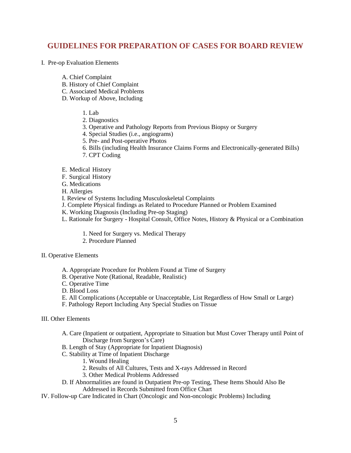# **GUIDELINES FOR PREPARATION OF CASES FOR BOARD REVIEW**

- I. Pre-op Evaluation Elements
	- A. Chief Complaint
	- B. History of Chief Complaint
	- C. Associated Medical Problems
	- D. Workup of Above, Including
		- 1. Lab
		- 2. Diagnostics
		- 3. Operative and Pathology Reports from Previous Biopsy or Surgery
		- 4. Special Studies (i.e., angiograms)
		- 5. Pre- and Post-operative Photos
		- 6. Bills (including Health Insurance Claims Forms and Electronically-generated Bills)
		- 7. CPT Coding
	- E. Medical History
	- F. Surgical History
	- G. Medications
	- H. Allergies
	- I. Review of Systems Including Musculoskeletal Complaints
	- J. Complete Physical findings as Related to Procedure Planned or Problem Examined
	- K. Working Diagnosis (Including Pre-op Staging)
	- L. Rationale for Surgery Hospital Consult, Office Notes, History & Physical or a Combination
		- 1. Need for Surgery vs. Medical Therapy
		- 2. Procedure Planned
- II. Operative Elements
	- A. Appropriate Procedure for Problem Found at Time of Surgery
	- B. Operative Note (Rational, Readable, Realistic)
	- C. Operative Time
	- D. Blood Loss
	- E. All Complications (Acceptable or Unacceptable, List Regardless of How Small or Large)
	- F. Pathology Report Including Any Special Studies on Tissue

#### III. Other Elements

- A. Care (Inpatient or outpatient, Appropriate to Situation but Must Cover Therapy until Point of Discharge from Surgeon's Care)
- B. Length of Stay (Appropriate for Inpatient Diagnosis)
- C. Stability at Time of Inpatient Discharge
	- 1. Wound Healing
	- 2. Results of All Cultures, Tests and X-rays Addressed in Record
	- 3. Other Medical Problems Addressed
- D. If Abnormalities are found in Outpatient Pre-op Testing, These Items Should Also Be Addressed in Records Submitted from Office Chart
- IV. Follow-up Care Indicated in Chart (Oncologic and Non-oncologic Problems) Including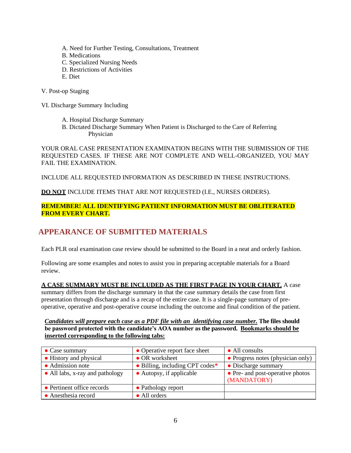- A. Need for Further Testing, Consultations, Treatment
- B. Medications
- C. Specialized Nursing Needs
- D. Restrictions of Activities
- E. Diet
- V. Post-op Staging
- VI. Discharge Summary Including
	- A. Hospital Discharge Summary
	- B. Dictated Discharge Summary When Patient is Discharged to the Care of Referring Physician

YOUR ORAL CASE PRESENTATION EXAMINATION BEGINS WITH THE SUBMISSION OF THE REQUESTED CASES. IF THESE ARE NOT COMPLETE AND WELL-ORGANIZED, YOU MAY FAIL THE EXAMINATION.

INCLUDE ALL REQUESTED INFORMATION AS DESCRIBED IN THESE INSTRUCTIONS.

**DO NOT** INCLUDE ITEMS THAT ARE NOT REQUESTED (I.E., NURSES ORDERS).

## **REMEMBER! ALL IDENTIFYING PATIENT INFORMATION MUST BE OBLITERATED FROM EVERY CHART.**

# **APPEARANCE OF SUBMITTED MATERIALS**

Each PLR oral examination case review should be submitted to the Board in a neat and orderly fashion.

Following are some examples and notes to assist you in preparing acceptable materials for a Board review.

## **A CASE SUMMARY MUST BE INCLUDED AS THE FIRST PAGE IN YOUR CHART.** A case

summary differs from the discharge summary in that the case summary details the case from first presentation through discharge and is a recap of the entire case. It is a single-page summary of preoperative, operative and post-operative course including the outcome and final condition of the patient.

*Candidates will prepare each case as a PDF file with an identifying case number.* **The files should be password protected with the candidate's AOA number as the password. Bookmarks should be inserted corresponding to the following tabs:**

| $\bullet$ Case summary          | • Operative report face sheet   | • All consults                    |
|---------------------------------|---------------------------------|-----------------------------------|
| • History and physical          | • OR worksheet                  | • Progress notes (physician only) |
| • Admission note                | • Billing, including CPT codes* | • Discharge summary               |
| • All labs, x-ray and pathology | • Autopsy, if applicable        | • Pre- and post-operative photos  |
|                                 |                                 | (MANDATORY)                       |
| • Pertinent office records      | • Pathology report              |                                   |
| • Anesthesia record             | • All orders                    |                                   |